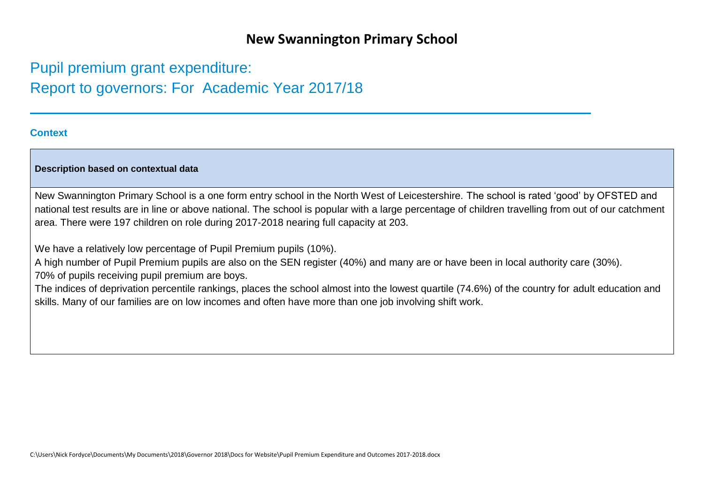## **New Swannington Primary School**

# Pupil premium grant expenditure: Report to governors: For Academic Year 2017/18

### **Context**

### **Description based on contextual data**

New Swannington Primary School is a one form entry school in the North West of Leicestershire. The school is rated 'good' by OFSTED and national test results are in line or above national. The school is popular with a large percentage of children travelling from out of our catchment area. There were 197 children on role during 2017-2018 nearing full capacity at 203.

We have a relatively low percentage of Pupil Premium pupils (10%).

A high number of Pupil Premium pupils are also on the SEN register (40%) and many are or have been in local authority care (30%).

70% of pupils receiving pupil premium are boys.

The indices of deprivation percentile rankings, places the school almost into the lowest quartile (74.6%) of the country for adult education and skills. Many of our families are on low incomes and often have more than one job involving shift work.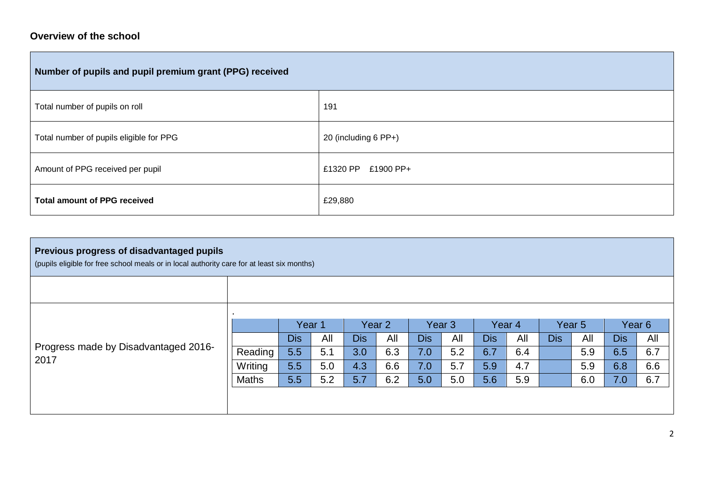### **Overview of the school**

| Number of pupils and pupil premium grant (PPG) received |                      |  |  |  |  |  |  |
|---------------------------------------------------------|----------------------|--|--|--|--|--|--|
| Total number of pupils on roll                          | 191                  |  |  |  |  |  |  |
| Total number of pupils eligible for PPG                 | 20 (including 6 PP+) |  |  |  |  |  |  |
| Amount of PPG received per pupil                        | £1320 PP £1900 PP+   |  |  |  |  |  |  |
| <b>Total amount of PPG received</b>                     | £29,880              |  |  |  |  |  |  |

| Previous progress of disadvantaged pupils<br>(pupils eligible for free school meals or in local authority care for at least six months) |            |     |            |     |                   |     |                   |     |            |     |                   |     |
|-----------------------------------------------------------------------------------------------------------------------------------------|------------|-----|------------|-----|-------------------|-----|-------------------|-----|------------|-----|-------------------|-----|
|                                                                                                                                         |            |     |            |     |                   |     |                   |     |            |     |                   |     |
|                                                                                                                                         |            |     |            |     |                   |     |                   |     |            |     |                   |     |
|                                                                                                                                         | Year 1     |     |            |     | Year <sub>3</sub> |     | Year <sub>4</sub> |     | Year 5     |     | Year <sub>6</sub> |     |
|                                                                                                                                         | <b>Dis</b> | All | <b>Dis</b> | All | Dis               | All | <b>Dis</b>        | All | <b>Dis</b> | All | <b>Dis</b>        | All |
| Reading                                                                                                                                 | 5.5        | 5.1 | 3.0        | 6.3 | 7.0               | 5.2 | 6.7               | 6.4 |            | 5.9 | 6.5               | 6.7 |
| Writing                                                                                                                                 | 5.5        | 5.0 | 4.3        | 6.6 | 7.0               | 5.7 | 5.9               | 4.7 |            | 5.9 | 6.8               | 6.6 |
| <b>Maths</b>                                                                                                                            | 5.5        | 5.2 | 5.7        | 6.2 | 5.0               | 5.0 | 5.6               | 5.9 |            | 6.0 | 7.0               | 6.7 |
|                                                                                                                                         |            |     |            |     |                   |     |                   |     |            |     |                   |     |
|                                                                                                                                         |            |     |            |     | Year <sub>2</sub> |     |                   |     |            |     |                   |     |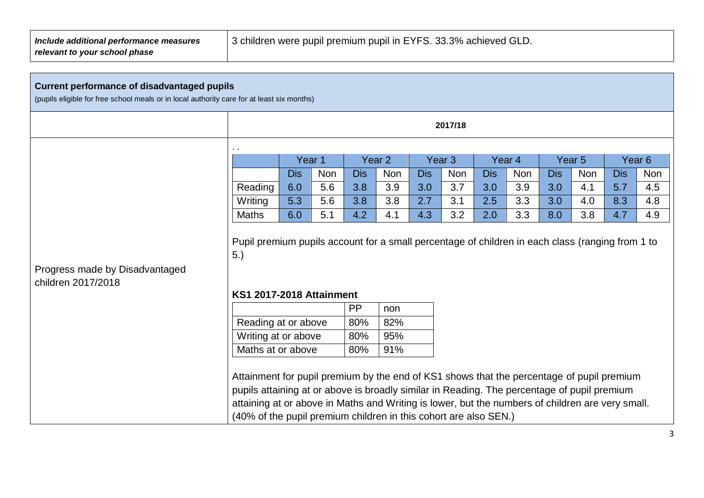### **Current performance of disadvantaged pupils**

(pupils eligible for free school meals or in local authority care for at least six months)

|              |            |     |     |        |     | 2017/18           |            |        |            |                   |            |                   |
|--------------|------------|-----|-----|--------|-----|-------------------|------------|--------|------------|-------------------|------------|-------------------|
| $\sim$       |            |     |     |        |     |                   |            |        |            |                   |            |                   |
|              | Year 1     |     |     | Year 2 |     | Year <sub>3</sub> |            | Year 4 |            | Year <sub>5</sub> |            | Year <sub>6</sub> |
|              | <b>Dis</b> | Non | Dis | Non    | Dis | Non               | <b>Dis</b> | Non    | <b>Dis</b> | <b>Non</b>        | <b>Dis</b> | Non               |
| Reading      | 6.0        | 5.6 | 3.8 | 3.9    | 3.0 | 3.7               | 3.0        | 3.9    | 3.0        | 4.1               | 5.7        | 4.5               |
| Writing      | 5.3        | 5.6 | 3.8 | 3.8    | 2.7 | 3.1               | 2.5        | 3.3    | 3.0        | 4.0               | 8.3        | 4.8               |
| <b>Maths</b> | 6.0        | 5.1 | 4.2 | 4.1    | 4.3 | 3.2               | 2.0        | 3.3    | 8.0        | 3.8               | 4.7        | 4.9               |

Pupil premium pupils account for a small percentage of children in each class (ranging from 1 to 5.)

Progress made by Disadvantaged children 2017/2018

### **KS1 2017-2018 Attainment**

|                     | <b>PP</b> | non |
|---------------------|-----------|-----|
| Reading at or above | 80%       | 82% |
| Writing at or above | 80%       | 95% |
| Maths at or above   | 80%       | 91% |

Attainment for pupil premium by the end of KS1 shows that the percentage of pupil premium pupils attaining at or above is broadly similar in Reading. The percentage of pupil premium attaining at or above in Maths and Writing is lower, but the numbers of children are very small. (40% of the pupil premium children in this cohort are also SEN.)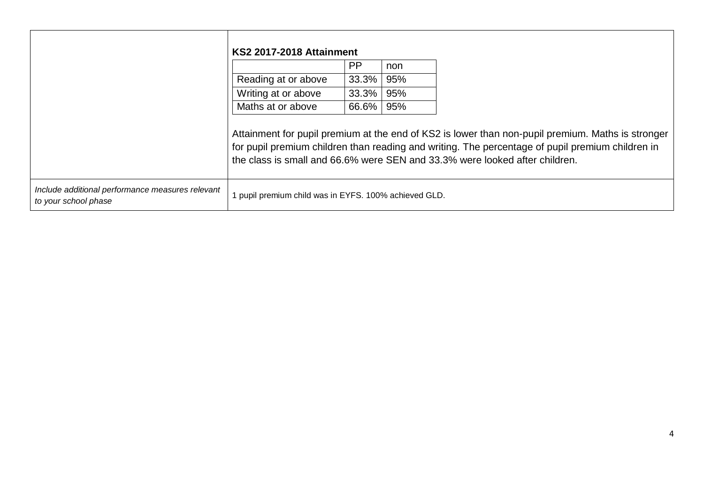|                                                                          | <b>KS2 2017-2018 Attainment</b>                       |           |     |                                                                                                                                                                                                                                                                                      |
|--------------------------------------------------------------------------|-------------------------------------------------------|-----------|-----|--------------------------------------------------------------------------------------------------------------------------------------------------------------------------------------------------------------------------------------------------------------------------------------|
|                                                                          |                                                       | <b>PP</b> | non |                                                                                                                                                                                                                                                                                      |
|                                                                          | Reading at or above                                   | $33.3\%$  | 95% |                                                                                                                                                                                                                                                                                      |
|                                                                          | Writing at or above                                   | $33.3\%$  | 95% |                                                                                                                                                                                                                                                                                      |
|                                                                          | Maths at or above                                     | 66.6%     | 95% |                                                                                                                                                                                                                                                                                      |
|                                                                          |                                                       |           |     | Attainment for pupil premium at the end of KS2 is lower than non-pupil premium. Maths is stronger<br>for pupil premium children than reading and writing. The percentage of pupil premium children in<br>the class is small and 66.6% were SEN and 33.3% were looked after children. |
| Include additional performance measures relevant<br>to your school phase | 1 pupil premium child was in EYFS. 100% achieved GLD. |           |     |                                                                                                                                                                                                                                                                                      |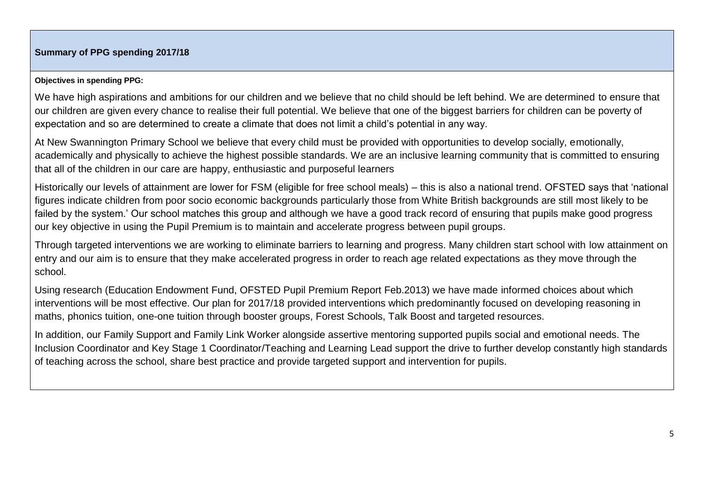### **Summary of PPG spending 2017/18**

#### **Objectives in spending PPG:**

We have high aspirations and ambitions for our children and we believe that no child should be left behind. We are determined to ensure that our children are given every chance to realise their full potential. We believe that one of the biggest barriers for children can be poverty of expectation and so are determined to create a climate that does not limit a child's potential in any way.

At New Swannington Primary School we believe that every child must be provided with opportunities to develop socially, emotionally, academically and physically to achieve the highest possible standards. We are an inclusive learning community that is committed to ensuring that all of the children in our care are happy, enthusiastic and purposeful learners

Historically our levels of attainment are lower for FSM (eligible for free school meals) – this is also a national trend. OFSTED says that 'national figures indicate children from poor socio economic backgrounds particularly those from White British backgrounds are still most likely to be failed by the system.' Our school matches this group and although we have a good track record of ensuring that pupils make good progress our key objective in using the Pupil Premium is to maintain and accelerate progress between pupil groups.

Through targeted interventions we are working to eliminate barriers to learning and progress. Many children start school with low attainment on entry and our aim is to ensure that they make accelerated progress in order to reach age related expectations as they move through the school.

Using research (Education Endowment Fund, OFSTED Pupil Premium Report Feb.2013) we have made informed choices about which interventions will be most effective. Our plan for 2017/18 provided interventions which predominantly focused on developing reasoning in maths, phonics tuition, one-one tuition through booster groups, Forest Schools, Talk Boost and targeted resources.

In addition, our Family Support and Family Link Worker alongside assertive mentoring supported pupils social and emotional needs. The Inclusion Coordinator and Key Stage 1 Coordinator/Teaching and Learning Lead support the drive to further develop constantly high standards of teaching across the school, share best practice and provide targeted support and intervention for pupils.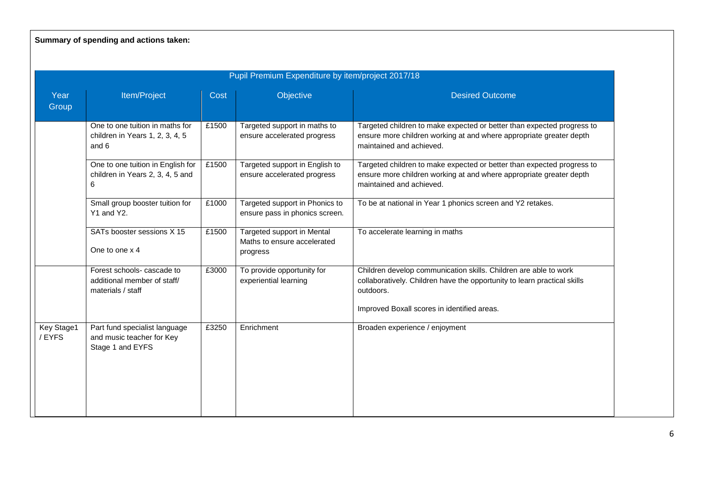**Summary of spending and actions taken:**

| Pupil Premium Expenditure by item/project 2017/18 |                                                                                |       |                                                                       |                                                                                                                                                                                                          |  |  |  |  |
|---------------------------------------------------|--------------------------------------------------------------------------------|-------|-----------------------------------------------------------------------|----------------------------------------------------------------------------------------------------------------------------------------------------------------------------------------------------------|--|--|--|--|
| Year<br>Group                                     | Item/Project                                                                   | Cost  | Objective                                                             | <b>Desired Outcome</b>                                                                                                                                                                                   |  |  |  |  |
|                                                   | One to one tuition in maths for<br>children in Years 1, 2, 3, 4, 5<br>and 6    | £1500 | Targeted support in maths to<br>ensure accelerated progress           | Targeted children to make expected or better than expected progress to<br>ensure more children working at and where appropriate greater depth<br>maintained and achieved.                                |  |  |  |  |
|                                                   | One to one tuition in English for<br>children in Years 2, 3, 4, 5 and<br>6     | £1500 | Targeted support in English to<br>ensure accelerated progress         | Targeted children to make expected or better than expected progress to<br>ensure more children working at and where appropriate greater depth<br>maintained and achieved.                                |  |  |  |  |
|                                                   | Small group booster tuition for<br>Y1 and Y2.                                  | £1000 | Targeted support in Phonics to<br>ensure pass in phonics screen.      | To be at national in Year 1 phonics screen and Y2 retakes.                                                                                                                                               |  |  |  |  |
|                                                   | SATs booster sessions X 15<br>One to one x 4                                   | £1500 | Targeted support in Mental<br>Maths to ensure accelerated<br>progress | To accelerate learning in maths                                                                                                                                                                          |  |  |  |  |
|                                                   | Forest schools- cascade to<br>additional member of staff/<br>materials / staff | £3000 | To provide opportunity for<br>experiential learning                   | Children develop communication skills. Children are able to work<br>collaboratively. Children have the opportunity to learn practical skills<br>outdoors.<br>Improved Boxall scores in identified areas. |  |  |  |  |
| Key Stage1<br>/EYFS                               | Part fund specialist language<br>and music teacher for Key<br>Stage 1 and EYFS | £3250 | Enrichment                                                            | Broaden experience / enjoyment                                                                                                                                                                           |  |  |  |  |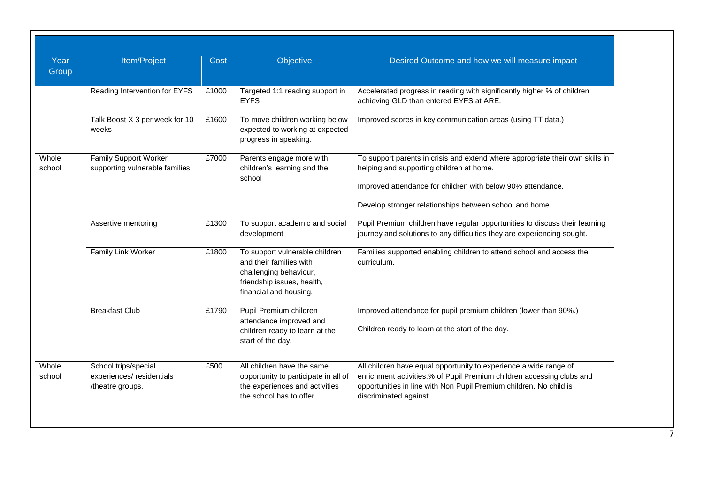| Year<br>Group   | Item/Project                                                          | Cost  | Objective                                                                                                                                   | Desired Outcome and how we will measure impact                                                                                                                                                                                             |
|-----------------|-----------------------------------------------------------------------|-------|---------------------------------------------------------------------------------------------------------------------------------------------|--------------------------------------------------------------------------------------------------------------------------------------------------------------------------------------------------------------------------------------------|
|                 | Reading Intervention for EYFS                                         | £1000 | Targeted 1:1 reading support in<br><b>EYFS</b>                                                                                              | Accelerated progress in reading with significantly higher % of children<br>achieving GLD than entered EYFS at ARE.                                                                                                                         |
|                 | Talk Boost X 3 per week for 10<br>weeks                               | £1600 | To move children working below<br>expected to working at expected<br>progress in speaking.                                                  | Improved scores in key communication areas (using TT data.)                                                                                                                                                                                |
| Whole<br>school | Family Support Worker<br>supporting vulnerable families               | £7000 | Parents engage more with<br>children's learning and the<br>school                                                                           | To support parents in crisis and extend where appropriate their own skills in<br>helping and supporting children at home.                                                                                                                  |
|                 |                                                                       |       |                                                                                                                                             | Improved attendance for children with below 90% attendance.<br>Develop stronger relationships between school and home.                                                                                                                     |
|                 | Assertive mentoring                                                   | £1300 | To support academic and social<br>development                                                                                               | Pupil Premium children have regular opportunities to discuss their learning<br>journey and solutions to any difficulties they are experiencing sought.                                                                                     |
|                 | Family Link Worker                                                    | £1800 | To support vulnerable children<br>and their families with<br>challenging behaviour,<br>friendship issues, health,<br>financial and housing. | Families supported enabling children to attend school and access the<br>curriculum.                                                                                                                                                        |
|                 | <b>Breakfast Club</b>                                                 | £1790 | Pupil Premium children<br>attendance improved and<br>children ready to learn at the<br>start of the day.                                    | Improved attendance for pupil premium children (lower than 90%.)<br>Children ready to learn at the start of the day.                                                                                                                       |
| Whole<br>school | School trips/special<br>experiences/ residentials<br>/theatre groups. | £500  | All children have the same<br>opportunity to participate in all of<br>the experiences and activities<br>the school has to offer.            | All children have equal opportunity to experience a wide range of<br>enrichment activities.% of Pupil Premium children accessing clubs and<br>opportunities in line with Non Pupil Premium children. No child is<br>discriminated against. |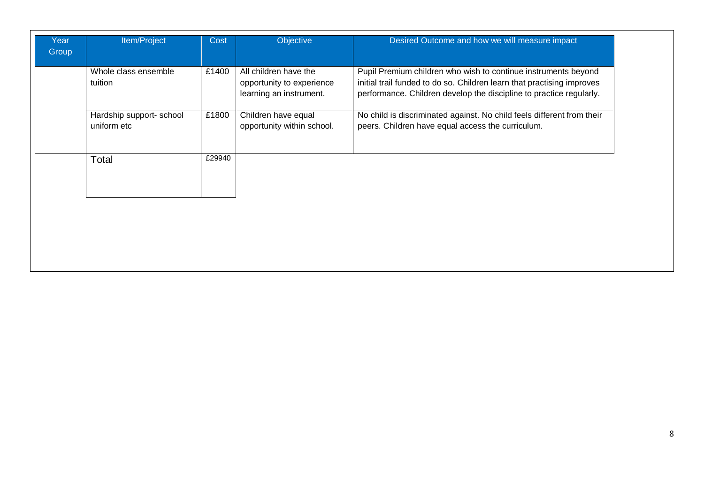| tuition | Whole class ensemble                    | £1400  | All children have the                                |                                                                                                                                                                                                                 |
|---------|-----------------------------------------|--------|------------------------------------------------------|-----------------------------------------------------------------------------------------------------------------------------------------------------------------------------------------------------------------|
|         |                                         |        | opportunity to experience<br>learning an instrument. | Pupil Premium children who wish to continue instruments beyond<br>initial trail funded to do so. Children learn that practising improves<br>performance. Children develop the discipline to practice regularly. |
|         | Hardship support- school<br>uniform etc | £1800  | Children have equal<br>opportunity within school.    | No child is discriminated against. No child feels different from their<br>peers. Children have equal access the curriculum.                                                                                     |
|         | Total                                   | £29940 |                                                      |                                                                                                                                                                                                                 |